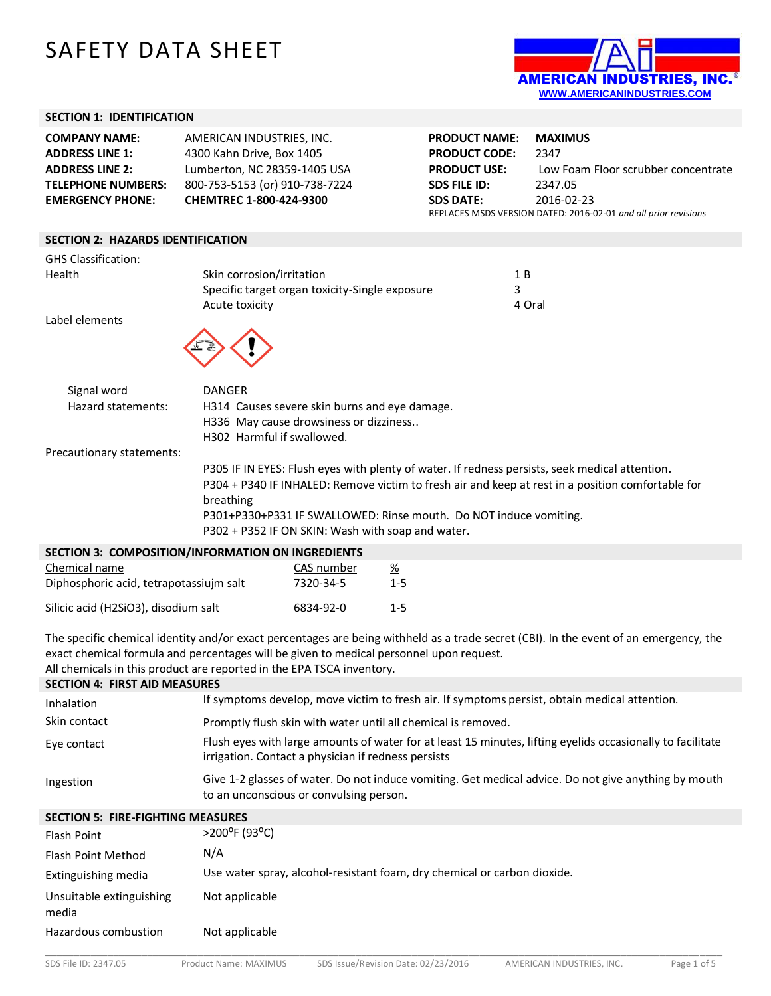# SAFETY DATA SHEET



#### **SECTION 1: IDENTIFICATION**

| <b>COMPANY NAME:</b>                     | AMERICAN INDUSTRIES, INC.                      | <b>PRODUCT NAME:</b> | <b>MAXIMUS</b>                                                  |
|------------------------------------------|------------------------------------------------|----------------------|-----------------------------------------------------------------|
| <b>ADDRESS LINE 1:</b>                   | 4300 Kahn Drive, Box 1405                      | <b>PRODUCT CODE:</b> | 2347                                                            |
| <b>ADDRESS LINE 2:</b>                   | Lumberton, NC 28359-1405 USA                   | <b>PRODUCT USE:</b>  | Low Foam Floor scrubber concentrate                             |
| <b>TELEPHONE NUMBERS:</b>                | 800-753-5153 (or) 910-738-7224                 | <b>SDS FILE ID:</b>  | 2347.05                                                         |
| <b>EMERGENCY PHONE:</b>                  | CHEMTREC 1-800-424-9300                        | <b>SDS DATE:</b>     | 2016-02-23                                                      |
|                                          |                                                |                      | REPLACES MSDS VERSION DATED: 2016-02-01 and all prior revisions |
|                                          |                                                |                      |                                                                 |
| <b>SECTION 2: HAZARDS IDENTIFICATION</b> |                                                |                      |                                                                 |
| <b>GHS Classification:</b>               |                                                |                      |                                                                 |
| Health                                   | Skin corrosion/irritation                      | 1 B                  |                                                                 |
|                                          | Specific target organ toxicity-Single exposure | 3                    |                                                                 |
|                                          | Acute toxicity                                 |                      | 4 Oral                                                          |
| Label elements                           |                                                |                      |                                                                 |
|                                          |                                                |                      |                                                                 |
|                                          |                                                |                      |                                                                 |

| Signal word        | DANGER                                        |
|--------------------|-----------------------------------------------|
| Hazard statements: | H314 Causes severe skin burns and eye damage. |
|                    | H336 May cause drowsiness or dizziness        |
|                    | H302 Harmful if swallowed.                    |

Precautionary statements:

P305 IF IN EYES: Flush eyes with plenty of water. If redness persists, seek medical attention. P304 + P340 IF INHALED: Remove victim to fresh air and keep at rest in a position comfortable for breathing P301+P330+P331 IF SWALLOWED: Rinse mouth. Do NOT induce vomiting. P302 + P352 IF ON SKIN: Wash with soap and water.

| <b>SECTION 3: COMPOSITION/INFORMATION ON INGREDIENTS</b> |            |         |  |  |
|----------------------------------------------------------|------------|---------|--|--|
| Chemical name                                            | CAS number | %       |  |  |
| Diphosphoric acid, tetrapotassiujm salt                  | 7320-34-5  | $1 - 5$ |  |  |
| Silicic acid (H2SiO3), disodium salt                     | 6834-92-0  | $1 - 5$ |  |  |

The specific chemical identity and/or exact percentages are being withheld as a trade secret (CBI). In the event of an emergency, the exact chemical formula and percentages will be given to medical personnel upon request.

All chemicals in this product are reported in the EPA TSCA inventory.

|  |  |  | <b>SECTION 4: FIRST AID MEASURES</b> |  |
|--|--|--|--------------------------------------|--|
|--|--|--|--------------------------------------|--|

| Inhalation                               | If symptoms develop, move victim to fresh air. If symptoms persist, obtain medical attention.                                                                     |
|------------------------------------------|-------------------------------------------------------------------------------------------------------------------------------------------------------------------|
| Skin contact                             | Promptly flush skin with water until all chemical is removed.                                                                                                     |
| Eye contact                              | Flush eyes with large amounts of water for at least 15 minutes, lifting eyelids occasionally to facilitate<br>irrigation. Contact a physician if redness persists |
| Ingestion                                | Give 1-2 glasses of water. Do not induce vomiting. Get medical advice. Do not give anything by mouth<br>to an unconscious or convulsing person.                   |
| <b>SECTION 5: FIRE-FIGHTING MEASURES</b> |                                                                                                                                                                   |
| Flash Point                              | $>$ 200 <sup>o</sup> F (93 <sup>o</sup> C)                                                                                                                        |
| <b>Flash Point Method</b>                | N/A                                                                                                                                                               |

| Extinguishing media |  | Use water spray, alcohol-resistant foam, dry chemical or carbon dioxide. |  |  |
|---------------------|--|--------------------------------------------------------------------------|--|--|
|---------------------|--|--------------------------------------------------------------------------|--|--|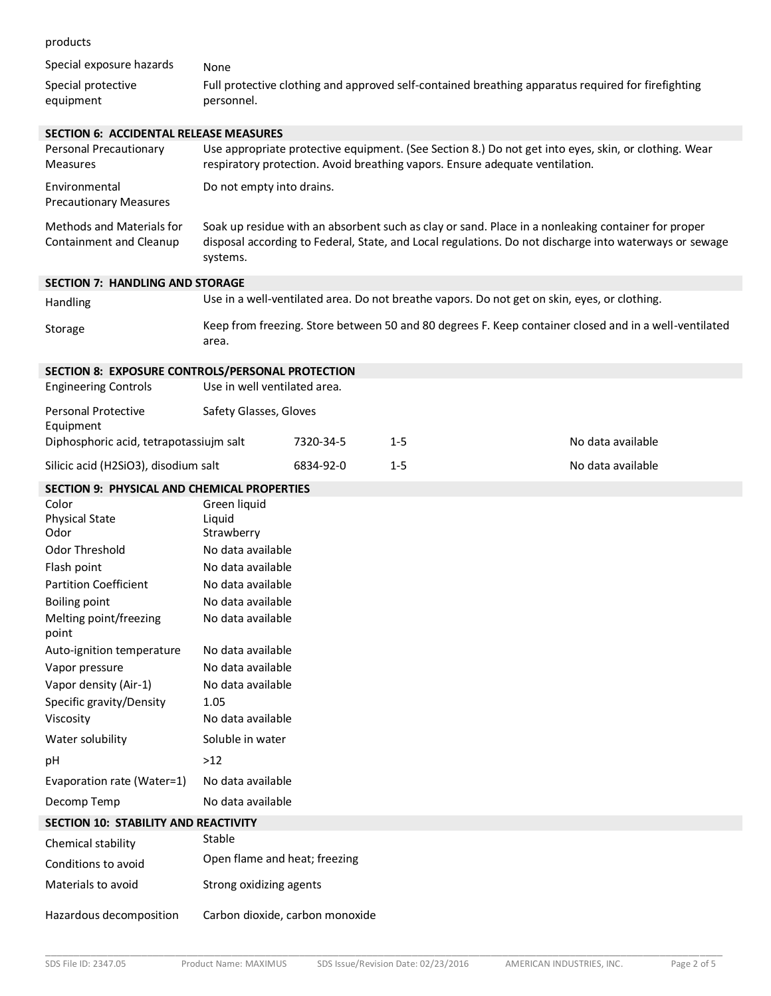products

| products                                                                        |                                                                                                                                                                                                                          |           |                                                                                                                                                                                      |                   |
|---------------------------------------------------------------------------------|--------------------------------------------------------------------------------------------------------------------------------------------------------------------------------------------------------------------------|-----------|--------------------------------------------------------------------------------------------------------------------------------------------------------------------------------------|-------------------|
| Special exposure hazards                                                        | None                                                                                                                                                                                                                     |           |                                                                                                                                                                                      |                   |
| Special protective<br>equipment                                                 | personnel.                                                                                                                                                                                                               |           | Full protective clothing and approved self-contained breathing apparatus required for firefighting                                                                                   |                   |
| <b>SECTION 6: ACCIDENTAL RELEASE MEASURES</b>                                   |                                                                                                                                                                                                                          |           |                                                                                                                                                                                      |                   |
| Personal Precautionary<br><b>Measures</b>                                       |                                                                                                                                                                                                                          |           | Use appropriate protective equipment. (See Section 8.) Do not get into eyes, skin, or clothing. Wear<br>respiratory protection. Avoid breathing vapors. Ensure adequate ventilation. |                   |
| Environmental<br><b>Precautionary Measures</b>                                  | Do not empty into drains.                                                                                                                                                                                                |           |                                                                                                                                                                                      |                   |
| <b>Methods and Materials for</b><br>Containment and Cleanup                     | Soak up residue with an absorbent such as clay or sand. Place in a nonleaking container for proper<br>disposal according to Federal, State, and Local regulations. Do not discharge into waterways or sewage<br>systems. |           |                                                                                                                                                                                      |                   |
| <b>SECTION 7: HANDLING AND STORAGE</b>                                          |                                                                                                                                                                                                                          |           |                                                                                                                                                                                      |                   |
| Handling                                                                        |                                                                                                                                                                                                                          |           | Use in a well-ventilated area. Do not breathe vapors. Do not get on skin, eyes, or clothing.                                                                                         |                   |
| Storage                                                                         | area.                                                                                                                                                                                                                    |           | Keep from freezing. Store between 50 and 80 degrees F. Keep container closed and in a well-ventilated                                                                                |                   |
| SECTION 8: EXPOSURE CONTROLS/PERSONAL PROTECTION<br><b>Engineering Controls</b> | Use in well ventilated area.                                                                                                                                                                                             |           |                                                                                                                                                                                      |                   |
| <b>Personal Protective</b>                                                      | Safety Glasses, Gloves                                                                                                                                                                                                   |           |                                                                                                                                                                                      |                   |
| Equipment<br>Diphosphoric acid, tetrapotassiujm salt                            |                                                                                                                                                                                                                          | 7320-34-5 | $1 - 5$                                                                                                                                                                              | No data available |
| Silicic acid (H2SiO3), disodium salt                                            |                                                                                                                                                                                                                          | 6834-92-0 | $1 - 5$                                                                                                                                                                              | No data available |
| <b>SECTION 9: PHYSICAL AND CHEMICAL PROPERTIES</b>                              |                                                                                                                                                                                                                          |           |                                                                                                                                                                                      |                   |
| Color<br><b>Physical State</b><br>Odor                                          | Green liquid<br>Liquid<br>Strawberry                                                                                                                                                                                     |           |                                                                                                                                                                                      |                   |
| <b>Odor Threshold</b>                                                           | No data available                                                                                                                                                                                                        |           |                                                                                                                                                                                      |                   |
| Flash point                                                                     | No data available                                                                                                                                                                                                        |           |                                                                                                                                                                                      |                   |
| <b>Partition Coefficient</b>                                                    | No data available                                                                                                                                                                                                        |           |                                                                                                                                                                                      |                   |
| <b>Boiling point</b><br>Melting point/freezing<br>point                         | No data available<br>No data available                                                                                                                                                                                   |           |                                                                                                                                                                                      |                   |
| Auto-ignition temperature                                                       | No data available                                                                                                                                                                                                        |           |                                                                                                                                                                                      |                   |
| Vapor pressure                                                                  | No data available                                                                                                                                                                                                        |           |                                                                                                                                                                                      |                   |
| Vapor density (Air-1)                                                           | No data available                                                                                                                                                                                                        |           |                                                                                                                                                                                      |                   |
| Specific gravity/Density                                                        | 1.05                                                                                                                                                                                                                     |           |                                                                                                                                                                                      |                   |
| Viscosity                                                                       | No data available                                                                                                                                                                                                        |           |                                                                                                                                                                                      |                   |
| Water solubility                                                                | Soluble in water                                                                                                                                                                                                         |           |                                                                                                                                                                                      |                   |
| pH                                                                              | $>12$                                                                                                                                                                                                                    |           |                                                                                                                                                                                      |                   |
| Evaporation rate (Water=1)                                                      | No data available                                                                                                                                                                                                        |           |                                                                                                                                                                                      |                   |
| Decomp Temp                                                                     | No data available                                                                                                                                                                                                        |           |                                                                                                                                                                                      |                   |
| SECTION 10: STABILITY AND REACTIVITY                                            |                                                                                                                                                                                                                          |           |                                                                                                                                                                                      |                   |
| Chemical stability                                                              | Stable                                                                                                                                                                                                                   |           |                                                                                                                                                                                      |                   |
| Conditions to avoid                                                             | Open flame and heat; freezing                                                                                                                                                                                            |           |                                                                                                                                                                                      |                   |
| Materials to avoid                                                              | Strong oxidizing agents                                                                                                                                                                                                  |           |                                                                                                                                                                                      |                   |
| Hazardous decomposition                                                         | Carbon dioxide, carbon monoxide                                                                                                                                                                                          |           |                                                                                                                                                                                      |                   |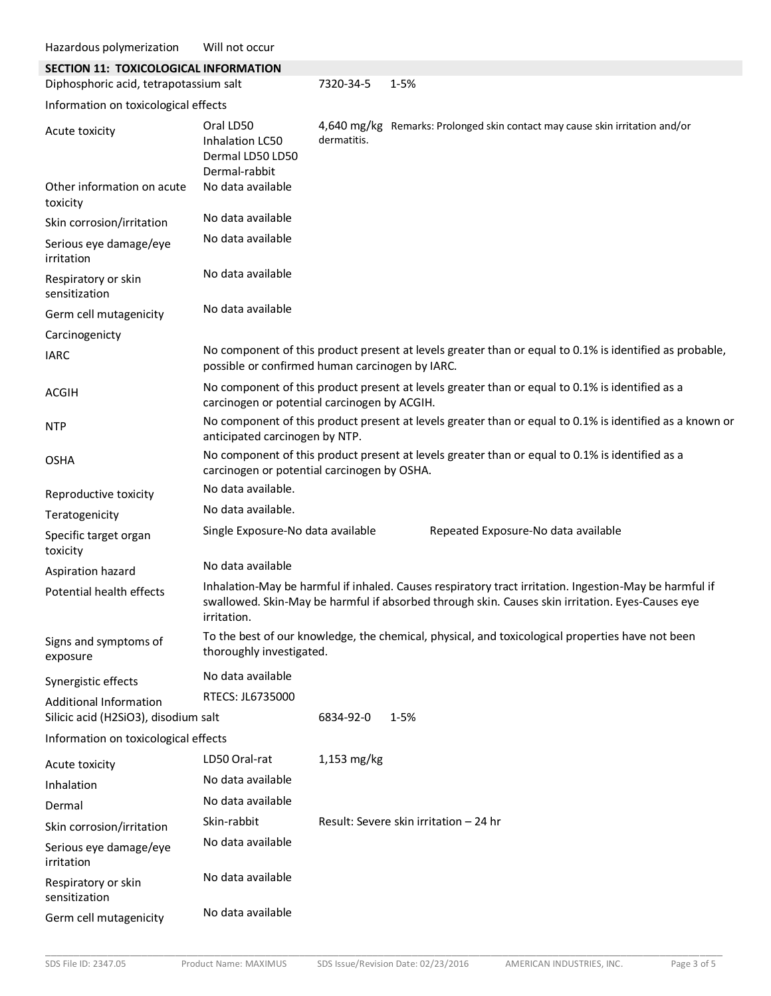| Hazardous polymerization                                              | Will not occur                                                                                                                                  |             |                                                                                                                                                                                                            |
|-----------------------------------------------------------------------|-------------------------------------------------------------------------------------------------------------------------------------------------|-------------|------------------------------------------------------------------------------------------------------------------------------------------------------------------------------------------------------------|
| SECTION 11: TOXICOLOGICAL INFORMATION                                 |                                                                                                                                                 |             |                                                                                                                                                                                                            |
| Diphosphoric acid, tetrapotassium salt                                |                                                                                                                                                 | 7320-34-5   | $1 - 5%$                                                                                                                                                                                                   |
| Information on toxicological effects                                  |                                                                                                                                                 |             |                                                                                                                                                                                                            |
| Acute toxicity                                                        | Oral LD50<br>Inhalation LC50<br>Dermal LD50 LD50<br>Dermal-rabbit                                                                               | dermatitis. | 4,640 mg/kg Remarks: Prolonged skin contact may cause skin irritation and/or                                                                                                                               |
| Other information on acute<br>toxicity                                | No data available                                                                                                                               |             |                                                                                                                                                                                                            |
| Skin corrosion/irritation                                             | No data available                                                                                                                               |             |                                                                                                                                                                                                            |
| Serious eye damage/eye<br>irritation                                  | No data available                                                                                                                               |             |                                                                                                                                                                                                            |
| Respiratory or skin<br>sensitization                                  | No data available                                                                                                                               |             |                                                                                                                                                                                                            |
| Germ cell mutagenicity                                                | No data available                                                                                                                               |             |                                                                                                                                                                                                            |
| Carcinogenicty                                                        |                                                                                                                                                 |             |                                                                                                                                                                                                            |
| <b>IARC</b>                                                           | possible or confirmed human carcinogen by IARC.                                                                                                 |             | No component of this product present at levels greater than or equal to 0.1% is identified as probable,                                                                                                    |
| <b>ACGIH</b>                                                          | No component of this product present at levels greater than or equal to 0.1% is identified as a<br>carcinogen or potential carcinogen by ACGIH. |             |                                                                                                                                                                                                            |
| <b>NTP</b>                                                            | No component of this product present at levels greater than or equal to 0.1% is identified as a known or<br>anticipated carcinogen by NTP.      |             |                                                                                                                                                                                                            |
| <b>OSHA</b>                                                           | carcinogen or potential carcinogen by OSHA.                                                                                                     |             | No component of this product present at levels greater than or equal to 0.1% is identified as a                                                                                                            |
| Reproductive toxicity                                                 | No data available.                                                                                                                              |             |                                                                                                                                                                                                            |
| Teratogenicity                                                        | No data available.                                                                                                                              |             |                                                                                                                                                                                                            |
| Specific target organ<br>toxicity                                     | Single Exposure-No data available                                                                                                               |             | Repeated Exposure-No data available                                                                                                                                                                        |
| Aspiration hazard                                                     | No data available                                                                                                                               |             |                                                                                                                                                                                                            |
| Potential health effects                                              | irritation.                                                                                                                                     |             | Inhalation-May be harmful if inhaled. Causes respiratory tract irritation. Ingestion-May be harmful if<br>swallowed. Skin-May be harmful if absorbed through skin. Causes skin irritation. Eyes-Causes eye |
| Signs and symptoms of<br>exposure                                     | thoroughly investigated.                                                                                                                        |             | To the best of our knowledge, the chemical, physical, and toxicological properties have not been                                                                                                           |
| Synergistic effects                                                   | No data available                                                                                                                               |             |                                                                                                                                                                                                            |
| <b>Additional Information</b><br>Silicic acid (H2SiO3), disodium salt | RTECS: JL6735000                                                                                                                                | 6834-92-0   | $1 - 5%$                                                                                                                                                                                                   |
| Information on toxicological effects                                  |                                                                                                                                                 |             |                                                                                                                                                                                                            |
| Acute toxicity                                                        | LD50 Oral-rat                                                                                                                                   | 1,153 mg/kg |                                                                                                                                                                                                            |
| Inhalation                                                            | No data available                                                                                                                               |             |                                                                                                                                                                                                            |
| Dermal                                                                | No data available                                                                                                                               |             |                                                                                                                                                                                                            |
| Skin corrosion/irritation                                             | Skin-rabbit                                                                                                                                     |             | Result: Severe skin irritation - 24 hr                                                                                                                                                                     |
| Serious eye damage/eye<br>irritation                                  | No data available                                                                                                                               |             |                                                                                                                                                                                                            |
| Respiratory or skin<br>sensitization                                  | No data available                                                                                                                               |             |                                                                                                                                                                                                            |
| Germ cell mutagenicity                                                | No data available                                                                                                                               |             |                                                                                                                                                                                                            |

\_\_\_\_\_\_\_\_\_\_\_\_\_\_\_\_\_\_\_\_\_\_\_\_\_\_\_\_\_\_\_\_\_\_\_\_\_\_\_\_\_\_\_\_\_\_\_\_\_\_\_\_\_\_\_\_\_\_\_\_\_\_\_\_\_\_\_\_\_\_\_\_\_\_\_\_\_\_\_\_\_\_\_\_\_\_\_\_\_\_\_\_\_\_\_\_\_\_\_\_\_\_\_\_\_\_\_\_\_\_\_\_\_\_\_\_\_\_\_\_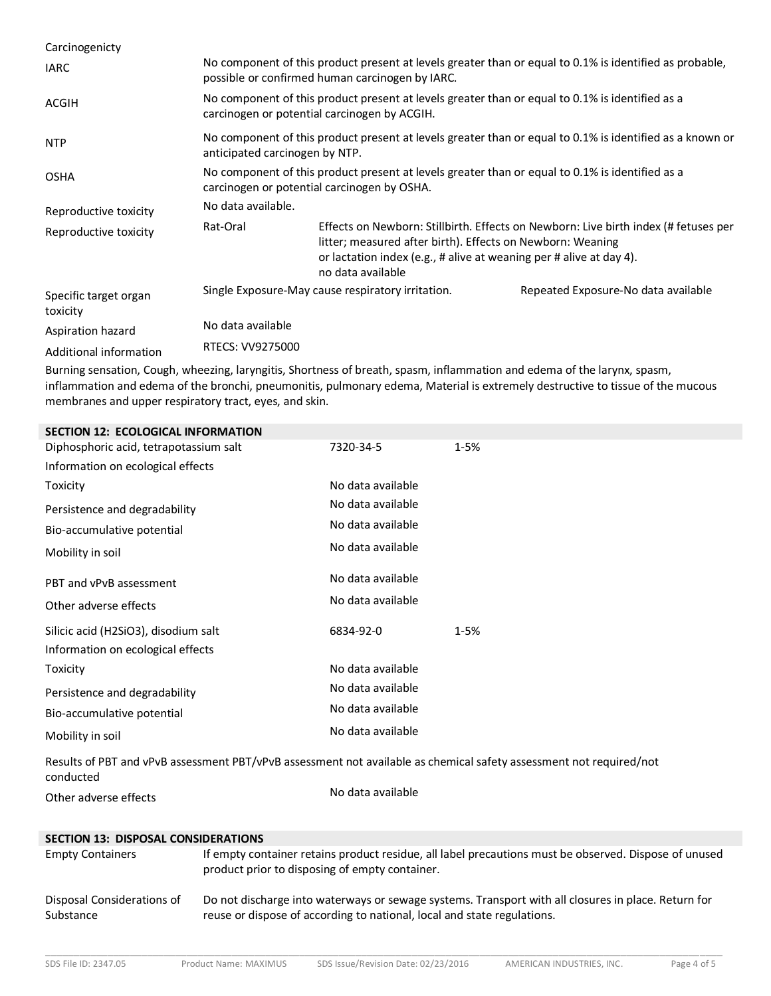| Carcinogenicty                    |                                                                                                                                                            |                                                                                                                                                        |                                                                                     |
|-----------------------------------|------------------------------------------------------------------------------------------------------------------------------------------------------------|--------------------------------------------------------------------------------------------------------------------------------------------------------|-------------------------------------------------------------------------------------|
| <b>IARC</b>                       | No component of this product present at levels greater than or equal to 0.1% is identified as probable,<br>possible or confirmed human carcinogen by IARC. |                                                                                                                                                        |                                                                                     |
| <b>ACGIH</b>                      | No component of this product present at levels greater than or equal to 0.1% is identified as a<br>carcinogen or potential carcinogen by ACGIH.            |                                                                                                                                                        |                                                                                     |
| <b>NTP</b>                        | No component of this product present at levels greater than or equal to 0.1% is identified as a known or<br>anticipated carcinogen by NTP.                 |                                                                                                                                                        |                                                                                     |
| <b>OSHA</b>                       | No component of this product present at levels greater than or equal to 0.1% is identified as a<br>carcinogen or potential carcinogen by OSHA.             |                                                                                                                                                        |                                                                                     |
| Reproductive toxicity             | No data available.                                                                                                                                         |                                                                                                                                                        |                                                                                     |
| Reproductive toxicity             | Rat-Oral                                                                                                                                                   | litter; measured after birth). Effects on Newborn: Weaning<br>or lactation index (e.g., # alive at weaning per # alive at day 4).<br>no data available | Effects on Newborn: Stillbirth. Effects on Newborn: Live birth index (# fetuses per |
| Specific target organ<br>toxicity |                                                                                                                                                            | Single Exposure-May cause respiratory irritation.                                                                                                      | Repeated Exposure-No data available                                                 |
| Aspiration hazard                 | No data available                                                                                                                                          |                                                                                                                                                        |                                                                                     |
| Additional information            | RTECS: VV9275000                                                                                                                                           |                                                                                                                                                        |                                                                                     |

Burning sensation, Cough, wheezing, laryngitis, Shortness of breath, spasm, inflammation and edema of the larynx, spasm, inflammation and edema of the bronchi, pneumonitis, pulmonary edema, Material is extremely destructive to tissue of the mucous membranes and upper respiratory tract, eyes, and skin.

| <b>SECTION 12: ECOLOGICAL INFORMATION</b>                                                                                        |                   |          |
|----------------------------------------------------------------------------------------------------------------------------------|-------------------|----------|
| Diphosphoric acid, tetrapotassium salt                                                                                           | 7320-34-5         | $1 - 5%$ |
| Information on ecological effects                                                                                                |                   |          |
| Toxicity                                                                                                                         | No data available |          |
| Persistence and degradability                                                                                                    | No data available |          |
| Bio-accumulative potential                                                                                                       | No data available |          |
| Mobility in soil                                                                                                                 | No data available |          |
| PBT and vPvB assessment                                                                                                          | No data available |          |
| Other adverse effects                                                                                                            | No data available |          |
| Silicic acid (H2SiO3), disodium salt                                                                                             | 6834-92-0         | $1 - 5%$ |
| Information on ecological effects                                                                                                |                   |          |
| Toxicity                                                                                                                         | No data available |          |
| Persistence and degradability                                                                                                    | No data available |          |
| Bio-accumulative potential                                                                                                       | No data available |          |
| Mobility in soil                                                                                                                 | No data available |          |
| Results of PBT and vPvB assessment PBT/vPvB assessment not available as chemical safety assessment not required/not<br>conducted |                   |          |
| Other adverse effects                                                                                                            | No data available |          |

### **SECTION 13: DISPOSAL CONSIDERATIONS**

| <b>Empty Containers</b>    | If empty container retains product residue, all label precautions must be observed. Dispose of unused<br>product prior to disposing of empty container. |
|----------------------------|---------------------------------------------------------------------------------------------------------------------------------------------------------|
| Disposal Considerations of | Do not discharge into waterways or sewage systems. Transport with all closures in place. Return for                                                     |
| Substance                  | reuse or dispose of according to national, local and state regulations.                                                                                 |